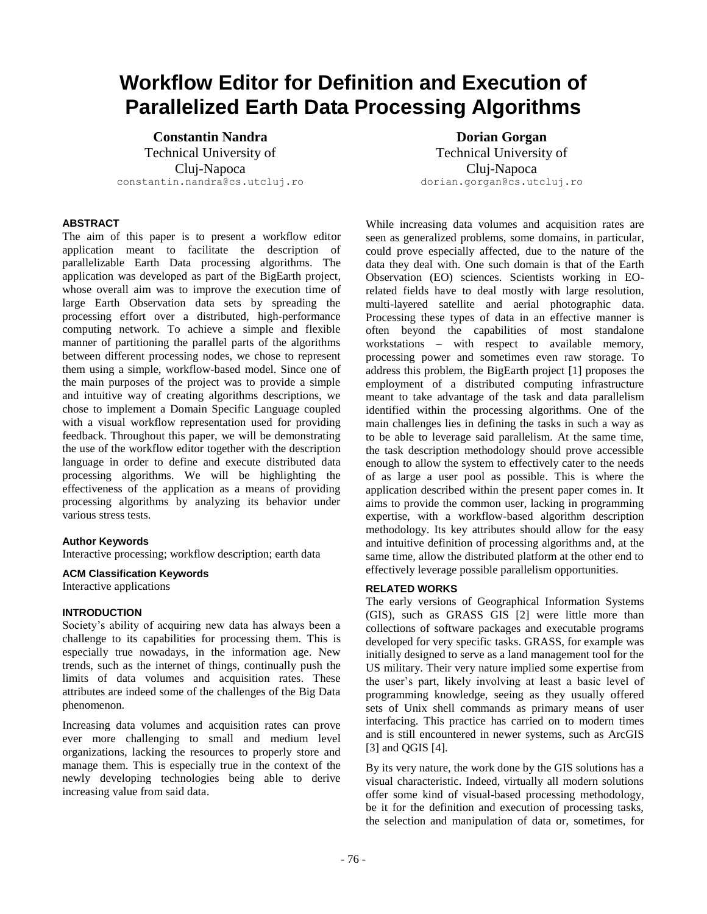# **Workflow Editor for Definition and Execution of Parallelized Earth Data Processing Algorithms**

**Constantin Nandra** Technical University of Cluj-Napoca constantin.nandra@cs.utcluj.ro

# **ABSTRACT**

The aim of this paper is to present a workflow editor application meant to facilitate the description of parallelizable Earth Data processing algorithms. The application was developed as part of the BigEarth project, whose overall aim was to improve the execution time of large Earth Observation data sets by spreading the processing effort over a distributed, high-performance computing network. To achieve a simple and flexible manner of partitioning the parallel parts of the algorithms between different processing nodes, we chose to represent them using a simple, workflow-based model. Since one of the main purposes of the project was to provide a simple and intuitive way of creating algorithms descriptions, we chose to implement a Domain Specific Language coupled with a visual workflow representation used for providing feedback. Throughout this paper, we will be demonstrating the use of the workflow editor together with the description language in order to define and execute distributed data processing algorithms. We will be highlighting the effectiveness of the application as a means of providing processing algorithms by analyzing its behavior under various stress tests.

## **Author Keywords**

Interactive processing; workflow description; earth data

## **ACM Classification Keywords**

Interactive applications

## **INTRODUCTION**

Society's ability of acquiring new data has always been a challenge to its capabilities for processing them. This is especially true nowadays, in the information age. New trends, such as the internet of things, continually push the limits of data volumes and acquisition rates. These attributes are indeed some of the challenges of the Big Data phenomenon.

Increasing data volumes and acquisition rates can prove ever more challenging to small and medium level organizations, lacking the resources to properly store and manage them. This is especially true in the context of the newly developing technologies being able to derive increasing value from said data.

**Dorian Gorgan** Technical University of Cluj-Napoca dorian.gorgan@cs.utcluj.ro

While increasing data volumes and acquisition rates are seen as generalized problems, some domains, in particular, could prove especially affected, due to the nature of the data they deal with. One such domain is that of the Earth Observation (EO) sciences. Scientists working in EOrelated fields have to deal mostly with large resolution, multi-layered satellite and aerial photographic data. Processing these types of data in an effective manner is often beyond the capabilities of most standalone workstations – with respect to available memory, processing power and sometimes even raw storage. To address this problem, the BigEarth project [1] proposes the employment of a distributed computing infrastructure meant to take advantage of the task and data parallelism identified within the processing algorithms. One of the main challenges lies in defining the tasks in such a way as to be able to leverage said parallelism. At the same time, the task description methodology should prove accessible enough to allow the system to effectively cater to the needs of as large a user pool as possible. This is where the application described within the present paper comes in. It aims to provide the common user, lacking in programming expertise, with a workflow-based algorithm description methodology. Its key attributes should allow for the easy and intuitive definition of processing algorithms and, at the same time, allow the distributed platform at the other end to effectively leverage possible parallelism opportunities.

#### **RELATED WORKS**

The early versions of Geographical Information Systems (GIS), such as GRASS GIS [2] were little more than collections of software packages and executable programs developed for very specific tasks. GRASS, for example was initially designed to serve as a land management tool for the US military. Their very nature implied some expertise from the user's part, likely involving at least a basic level of programming knowledge, seeing as they usually offered sets of Unix shell commands as primary means of user interfacing. This practice has carried on to modern times and is still encountered in newer systems, such as ArcGIS [3] and QGIS [4].

By its very nature, the work done by the GIS solutions has a visual characteristic. Indeed, virtually all modern solutions offer some kind of visual-based processing methodology, be it for the definition and execution of processing tasks, the selection and manipulation of data or, sometimes, for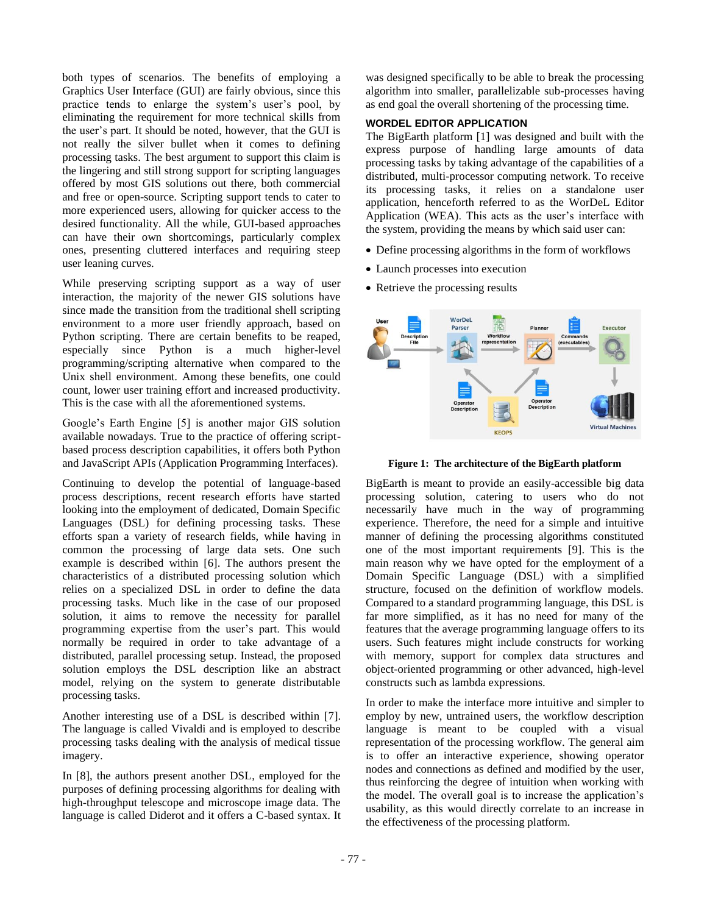both types of scenarios. The benefits of employing a Graphics User Interface (GUI) are fairly obvious, since this practice tends to enlarge the system's user's pool, by eliminating the requirement for more technical skills from the user's part. It should be noted, however, that the GUI is not really the silver bullet when it comes to defining processing tasks. The best argument to support this claim is the lingering and still strong support for scripting languages offered by most GIS solutions out there, both commercial and free or open-source. Scripting support tends to cater to more experienced users, allowing for quicker access to the desired functionality. All the while, GUI-based approaches can have their own shortcomings, particularly complex ones, presenting cluttered interfaces and requiring steep user leaning curves.

While preserving scripting support as a way of user interaction, the majority of the newer GIS solutions have since made the transition from the traditional shell scripting environment to a more user friendly approach, based on Python scripting. There are certain benefits to be reaped, especially since Python is a much higher-level programming/scripting alternative when compared to the Unix shell environment. Among these benefits, one could count, lower user training effort and increased productivity. This is the case with all the aforementioned systems.

Google's Earth Engine [5] is another major GIS solution available nowadays. True to the practice of offering scriptbased process description capabilities, it offers both Python and JavaScript APIs (Application Programming Interfaces).

Continuing to develop the potential of language-based process descriptions, recent research efforts have started looking into the employment of dedicated, Domain Specific Languages (DSL) for defining processing tasks. These efforts span a variety of research fields, while having in common the processing of large data sets. One such example is described within [6]. The authors present the characteristics of a distributed processing solution which relies on a specialized DSL in order to define the data processing tasks. Much like in the case of our proposed solution, it aims to remove the necessity for parallel programming expertise from the user's part. This would normally be required in order to take advantage of a distributed, parallel processing setup. Instead, the proposed solution employs the DSL description like an abstract model, relying on the system to generate distributable processing tasks.

Another interesting use of a DSL is described within [7]. The language is called Vivaldi and is employed to describe processing tasks dealing with the analysis of medical tissue imagery.

In [8], the authors present another DSL, employed for the purposes of defining processing algorithms for dealing with high-throughput telescope and microscope image data. The language is called Diderot and it offers a C-based syntax. It was designed specifically to be able to break the processing algorithm into smaller, parallelizable sub-processes having as end goal the overall shortening of the processing time.

# **WORDEL EDITOR APPLICATION**

The BigEarth platform [1] was designed and built with the express purpose of handling large amounts of data processing tasks by taking advantage of the capabilities of a distributed, multi-processor computing network. To receive its processing tasks, it relies on a standalone user application, henceforth referred to as the WorDeL Editor Application (WEA). This acts as the user's interface with the system, providing the means by which said user can:

- Define processing algorithms in the form of workflows
- Launch processes into execution
- Retrieve the processing results



**Figure 1: The architecture of the BigEarth platform**

BigEarth is meant to provide an easily-accessible big data processing solution, catering to users who do not necessarily have much in the way of programming experience. Therefore, the need for a simple and intuitive manner of defining the processing algorithms constituted one of the most important requirements [9]. This is the main reason why we have opted for the employment of a Domain Specific Language (DSL) with a simplified structure, focused on the definition of workflow models. Compared to a standard programming language, this DSL is far more simplified, as it has no need for many of the features that the average programming language offers to its users. Such features might include constructs for working with memory, support for complex data structures and object-oriented programming or other advanced, high-level constructs such as lambda expressions.

In order to make the interface more intuitive and simpler to employ by new, untrained users, the workflow description language is meant to be coupled with a visual representation of the processing workflow. The general aim is to offer an interactive experience, showing operator nodes and connections as defined and modified by the user, thus reinforcing the degree of intuition when working with the model. The overall goal is to increase the application's usability, as this would directly correlate to an increase in the effectiveness of the processing platform.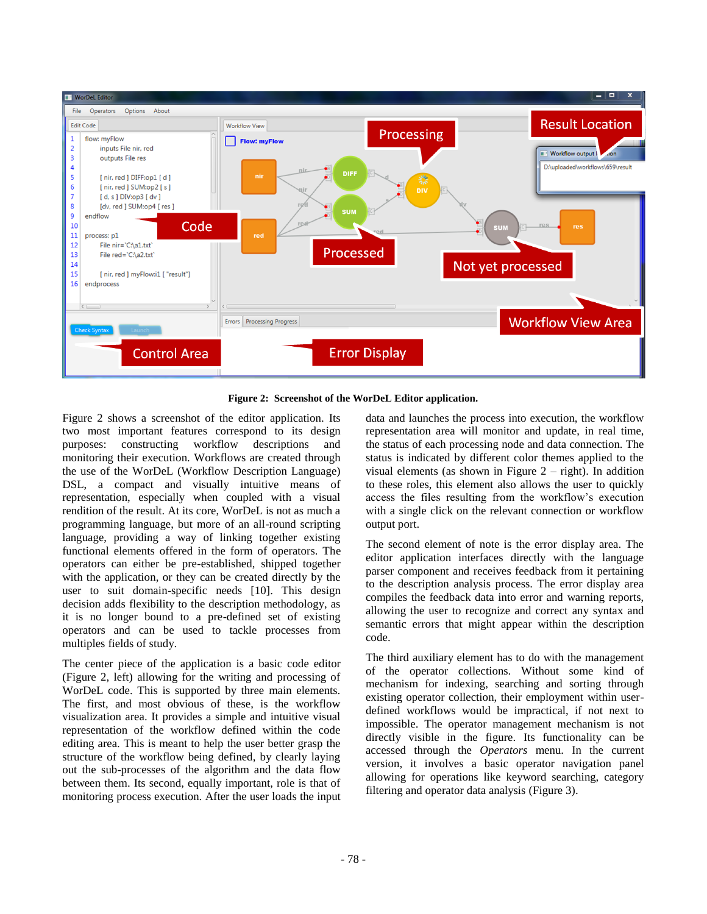

**Figure 2: Screenshot of the WorDeL Editor application.**

Figure 2 shows a screenshot of the editor application. Its two most important features correspond to its design purposes: constructing workflow descriptions and monitoring their execution. Workflows are created through the use of the WorDeL (Workflow Description Language) DSL, a compact and visually intuitive means of representation, especially when coupled with a visual rendition of the result. At its core, WorDeL is not as much a programming language, but more of an all-round scripting language, providing a way of linking together existing functional elements offered in the form of operators. The operators can either be pre-established, shipped together with the application, or they can be created directly by the user to suit domain-specific needs [10]. This design decision adds flexibility to the description methodology, as it is no longer bound to a pre-defined set of existing operators and can be used to tackle processes from multiples fields of study.

The center piece of the application is a basic code editor (Figure 2, left) allowing for the writing and processing of WorDeL code. This is supported by three main elements. The first, and most obvious of these, is the workflow visualization area. It provides a simple and intuitive visual representation of the workflow defined within the code editing area. This is meant to help the user better grasp the structure of the workflow being defined, by clearly laying out the sub-processes of the algorithm and the data flow between them. Its second, equally important, role is that of monitoring process execution. After the user loads the input

data and launches the process into execution, the workflow representation area will monitor and update, in real time, the status of each processing node and data connection. The status is indicated by different color themes applied to the visual elements (as shown in Figure  $2 -$  right). In addition to these roles, this element also allows the user to quickly access the files resulting from the workflow's execution with a single click on the relevant connection or workflow output port.

The second element of note is the error display area. The editor application interfaces directly with the language parser component and receives feedback from it pertaining to the description analysis process. The error display area compiles the feedback data into error and warning reports, allowing the user to recognize and correct any syntax and semantic errors that might appear within the description code.

The third auxiliary element has to do with the management of the operator collections. Without some kind of mechanism for indexing, searching and sorting through existing operator collection, their employment within userdefined workflows would be impractical, if not next to impossible. The operator management mechanism is not directly visible in the figure. Its functionality can be accessed through the *Operators* menu. In the current version, it involves a basic operator navigation panel allowing for operations like keyword searching, category filtering and operator data analysis (Figure 3).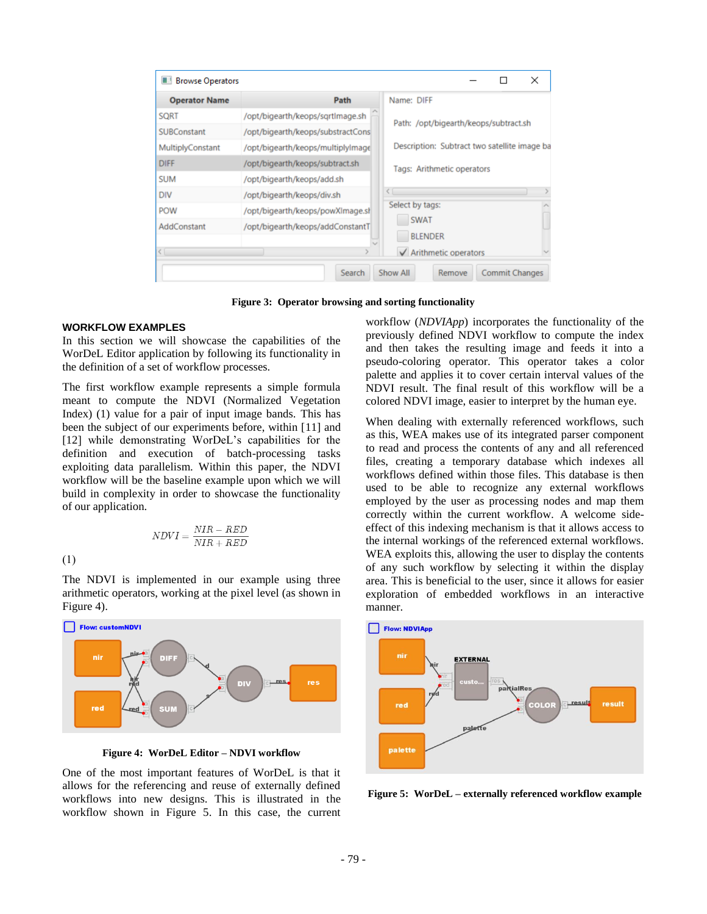| Path<br>/opt/bigearth/keops/sgrtImage.sh | Name: DIFF                                       |
|------------------------------------------|--------------------------------------------------|
|                                          |                                                  |
|                                          | Path: /opt/bigearth/keops/subtract.sh            |
| /opt/bigearth/keops/substractCons        |                                                  |
| /opt/bigearth/keops/multiplylmage        | Description: Subtract two satellite image ba     |
| /opt/bigearth/keops/subtract.sh          | Tags: Arithmetic operators                       |
| /opt/bigearth/keops/add.sh               |                                                  |
| /opt/bigearth/keops/div.sh               |                                                  |
| /opt/bigearth/keops/powXlmage.sl         | Select by tags:<br><b>SWAT</b><br><b>BLENDER</b> |
| /opt/bigearth/keops/addConstantT         |                                                  |
|                                          | $\sqrt{\phantom{a}}$ Arithmetic operators        |
|                                          | Show All<br>Search                               |

**Figure 3: Operator browsing and sorting functionality**

## **WORKFLOW EXAMPLES**

In this section we will showcase the capabilities of the WorDeL Editor application by following its functionality in the definition of a set of workflow processes.

The first workflow example represents a simple formula meant to compute the NDVI (Normalized Vegetation Index) (1) value for a pair of input image bands. This has been the subject of our experiments before, within [11] and [12] while demonstrating WorDeL's capabilities for the definition and execution of batch-processing tasks exploiting data parallelism. Within this paper, the NDVI workflow will be the baseline example upon which we will build in complexity in order to showcase the functionality of our application.

$$
NDVI = \frac{NIR - RED}{NIR + RED}
$$

 $(1)$ 

The NDVI is implemented in our example using three arithmetic operators, working at the pixel level (as shown in Figure 4).



**Figure 4: WorDeL Editor – NDVI workflow**

One of the most important features of WorDeL is that it allows for the referencing and reuse of externally defined workflows into new designs. This is illustrated in the workflow shown in Figure 5. In this case, the current workflow (*NDVIApp*) incorporates the functionality of the previously defined NDVI workflow to compute the index and then takes the resulting image and feeds it into a pseudo-coloring operator. This operator takes a color palette and applies it to cover certain interval values of the NDVI result. The final result of this workflow will be a colored NDVI image, easier to interpret by the human eye.

When dealing with externally referenced workflows, such as this, WEA makes use of its integrated parser component to read and process the contents of any and all referenced files, creating a temporary database which indexes all workflows defined within those files. This database is then used to be able to recognize any external workflows employed by the user as processing nodes and map them correctly within the current workflow. A welcome sideeffect of this indexing mechanism is that it allows access to the internal workings of the referenced external workflows. WEA exploits this, allowing the user to display the contents of any such workflow by selecting it within the display area. This is beneficial to the user, since it allows for easier exploration of embedded workflows in an interactive manner.



**Figure 5: WorDeL – externally referenced workflow example**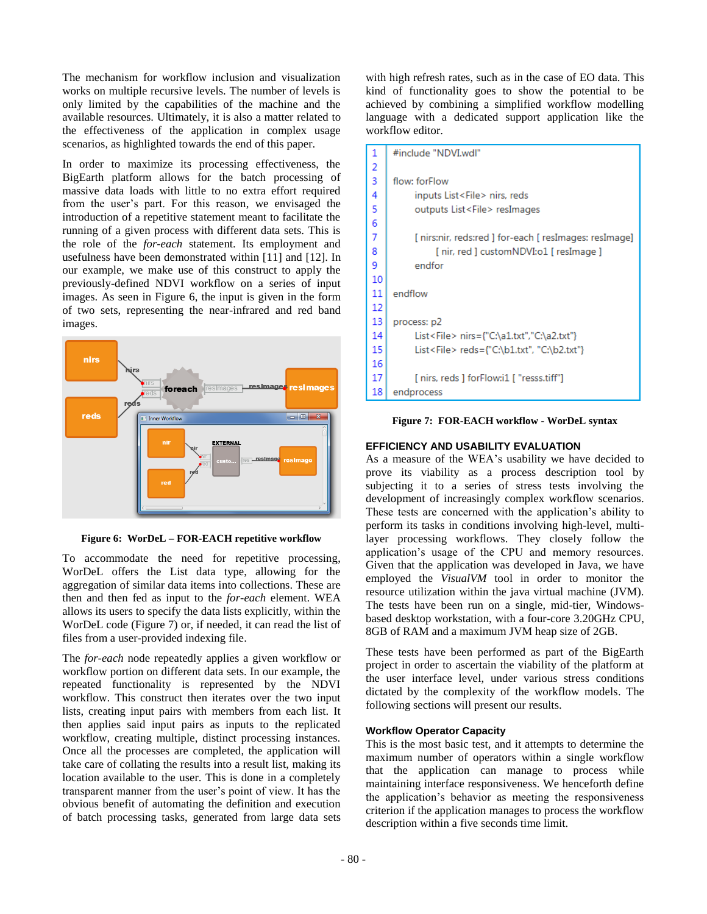The mechanism for workflow inclusion and visualization works on multiple recursive levels. The number of levels is only limited by the capabilities of the machine and the available resources. Ultimately, it is also a matter related to the effectiveness of the application in complex usage scenarios, as highlighted towards the end of this paper.

In order to maximize its processing effectiveness, the BigEarth platform allows for the batch processing of massive data loads with little to no extra effort required from the user's part. For this reason, we envisaged the introduction of a repetitive statement meant to facilitate the running of a given process with different data sets. This is the role of the *for-each* statement. Its employment and usefulness have been demonstrated within [11] and [12]. In our example, we make use of this construct to apply the previously-defined NDVI workflow on a series of input images. As seen in Figure 6, the input is given in the form of two sets, representing the near-infrared and red band images.



**Figure 6: WorDeL – FOR-EACH repetitive workflow**

To accommodate the need for repetitive processing, WorDeL offers the List data type, allowing for the aggregation of similar data items into collections. These are then and then fed as input to the *for-each* element. WEA allows its users to specify the data lists explicitly, within the WorDeL code (Figure 7) or, if needed, it can read the list of files from a user-provided indexing file.

The *for-each* node repeatedly applies a given workflow or workflow portion on different data sets. In our example, the repeated functionality is represented by the NDVI workflow. This construct then iterates over the two input lists, creating input pairs with members from each list. It then applies said input pairs as inputs to the replicated workflow, creating multiple, distinct processing instances. Once all the processes are completed, the application will take care of collating the results into a result list, making its location available to the user. This is done in a completely transparent manner from the user's point of view. It has the obvious benefit of automating the definition and execution of batch processing tasks, generated from large data sets

with high refresh rates, such as in the case of EO data. This kind of functionality goes to show the potential to be achieved by combining a simplified workflow modelling language with a dedicated support application like the workflow editor.

| 1  | #include "NDVI.wdl"                                    |
|----|--------------------------------------------------------|
| 2  |                                                        |
| 3  | flow: forFlow                                          |
| 4  | inputs List <file> nirs, reds</file>                   |
| 5  | outputs List <file> resImages</file>                   |
| 6  |                                                        |
| 7  | [ nirs:nir, reds:red ] for-each [ resImages: resImage] |
| 8  | [ nir, red ] customNDVI:01 [ resImage ]                |
| 9  | endfor                                                 |
| 10 |                                                        |
| 11 | endflow                                                |
| 12 |                                                        |
| 13 | process: p2                                            |
| 14 | List <file> nirs={"C:\a1.txt","C:\a2.txt"}</file>      |
| 15 | List <file> reds={"C:\b1.txt", "C:\b2.txt"}</file>     |
| 16 |                                                        |
| 17 | [nirs, reds ] forFlow:i1 [ "resss.tiff"]               |
| 18 | endprocess                                             |

**Figure 7: FOR-EACH workflow - WorDeL syntax**

# **EFFICIENCY AND USABILITY EVALUATION**

As a measure of the WEA's usability we have decided to prove its viability as a process description tool by subjecting it to a series of stress tests involving the development of increasingly complex workflow scenarios. These tests are concerned with the application's ability to perform its tasks in conditions involving high-level, multilayer processing workflows. They closely follow the application's usage of the CPU and memory resources. Given that the application was developed in Java, we have employed the *VisualVM* tool in order to monitor the resource utilization within the java virtual machine (JVM). The tests have been run on a single, mid-tier, Windowsbased desktop workstation, with a four-core 3.20GHz CPU, 8GB of RAM and a maximum JVM heap size of 2GB.

These tests have been performed as part of the BigEarth project in order to ascertain the viability of the platform at the user interface level, under various stress conditions dictated by the complexity of the workflow models. The following sections will present our results.

# **Workflow Operator Capacity**

This is the most basic test, and it attempts to determine the maximum number of operators within a single workflow that the application can manage to process while maintaining interface responsiveness. We henceforth define the application's behavior as meeting the responsiveness criterion if the application manages to process the workflow description within a five seconds time limit.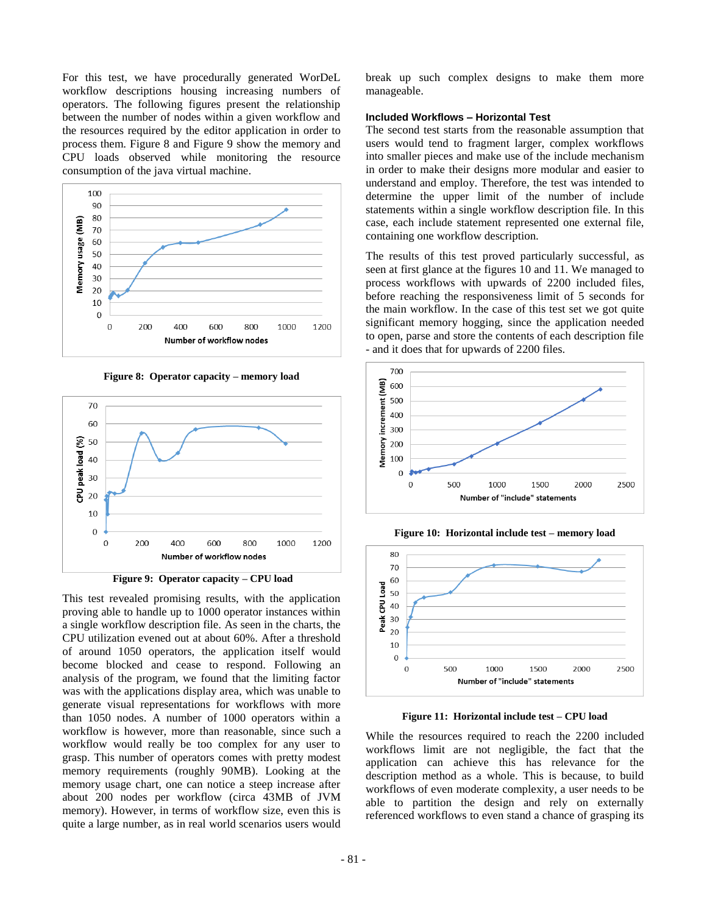For this test, we have procedurally generated WorDeL workflow descriptions housing increasing numbers of operators. The following figures present the relationship between the number of nodes within a given workflow and the resources required by the editor application in order to process them. Figure 8 and Figure 9 show the memory and CPU loads observed while monitoring the resource consumption of the java virtual machine.







**Figure 9: Operator capacity – CPU load**

This test revealed promising results, with the application proving able to handle up to 1000 operator instances within a single workflow description file. As seen in the charts, the CPU utilization evened out at about 60%. After a threshold of around 1050 operators, the application itself would become blocked and cease to respond. Following an analysis of the program, we found that the limiting factor was with the applications display area, which was unable to generate visual representations for workflows with more than 1050 nodes. A number of 1000 operators within a workflow is however, more than reasonable, since such a workflow would really be too complex for any user to grasp. This number of operators comes with pretty modest memory requirements (roughly 90MB). Looking at the memory usage chart, one can notice a steep increase after about 200 nodes per workflow (circa 43MB of JVM memory). However, in terms of workflow size, even this is quite a large number, as in real world scenarios users would

break up such complex designs to make them more manageable.

## **Included Workflows – Horizontal Test**

The second test starts from the reasonable assumption that users would tend to fragment larger, complex workflows into smaller pieces and make use of the include mechanism in order to make their designs more modular and easier to understand and employ. Therefore, the test was intended to determine the upper limit of the number of include statements within a single workflow description file. In this case, each include statement represented one external file, containing one workflow description.

The results of this test proved particularly successful, as seen at first glance at the figures 10 and 11. We managed to process workflows with upwards of 2200 included files, before reaching the responsiveness limit of 5 seconds for the main workflow. In the case of this test set we got quite significant memory hogging, since the application needed to open, parse and store the contents of each description file - and it does that for upwards of 2200 files.



**Figure 10: Horizontal include test – memory load**



**Figure 11: Horizontal include test – CPU load**

While the resources required to reach the 2200 included workflows limit are not negligible, the fact that the application can achieve this has relevance for the description method as a whole. This is because, to build workflows of even moderate complexity, a user needs to be able to partition the design and rely on externally referenced workflows to even stand a chance of grasping its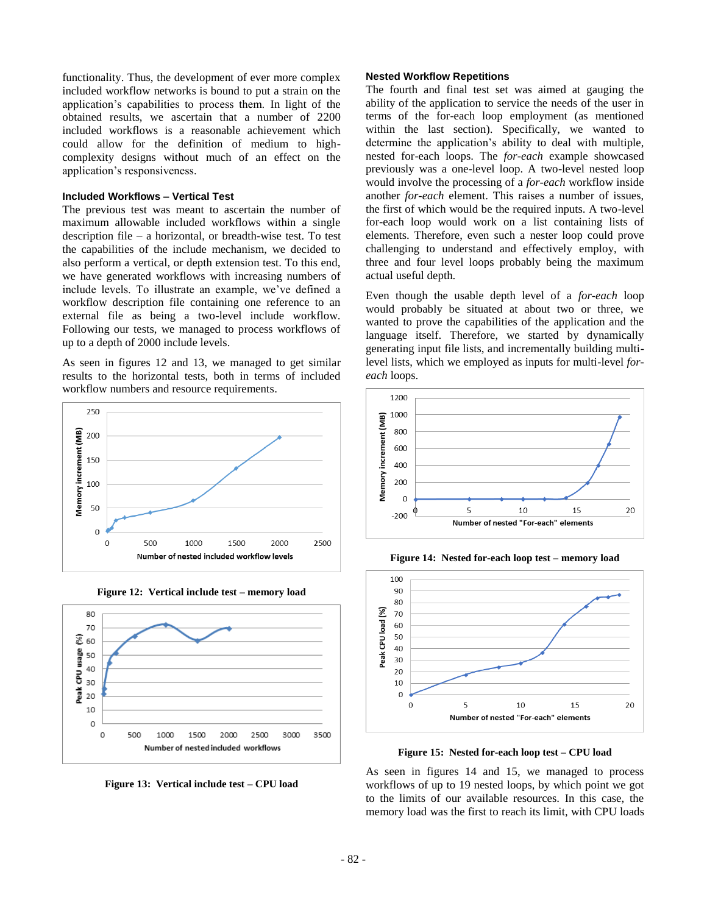functionality. Thus, the development of ever more complex included workflow networks is bound to put a strain on the application's capabilities to process them. In light of the obtained results, we ascertain that a number of 2200 included workflows is a reasonable achievement which could allow for the definition of medium to highcomplexity designs without much of an effect on the application's responsiveness.

## **Included Workflows – Vertical Test**

The previous test was meant to ascertain the number of maximum allowable included workflows within a single description file – a horizontal, or breadth-wise test. To test the capabilities of the include mechanism, we decided to also perform a vertical, or depth extension test. To this end, we have generated workflows with increasing numbers of include levels. To illustrate an example, we've defined a workflow description file containing one reference to an external file as being a two-level include workflow. Following our tests, we managed to process workflows of up to a depth of 2000 include levels.

As seen in figures 12 and 13, we managed to get similar results to the horizontal tests, both in terms of included workflow numbers and resource requirements.





**Figure 12: Vertical include test – memory load**

**Figure 13: Vertical include test – CPU load**

## **Nested Workflow Repetitions**

The fourth and final test set was aimed at gauging the ability of the application to service the needs of the user in terms of the for-each loop employment (as mentioned within the last section). Specifically, we wanted to determine the application's ability to deal with multiple, nested for-each loops. The *for-each* example showcased previously was a one-level loop. A two-level nested loop would involve the processing of a *for-each* workflow inside another *for-each* element. This raises a number of issues, the first of which would be the required inputs. A two-level for-each loop would work on a list containing lists of elements. Therefore, even such a nester loop could prove challenging to understand and effectively employ, with three and four level loops probably being the maximum actual useful depth.

Even though the usable depth level of a *for-each* loop would probably be situated at about two or three, we wanted to prove the capabilities of the application and the language itself. Therefore, we started by dynamically generating input file lists, and incrementally building multilevel lists, which we employed as inputs for multi-level *foreach* loops.



**Figure 14: Nested for-each loop test – memory load**



**Figure 15: Nested for-each loop test – CPU load**

As seen in figures 14 and 15, we managed to process workflows of up to 19 nested loops, by which point we got to the limits of our available resources. In this case, the memory load was the first to reach its limit, with CPU loads